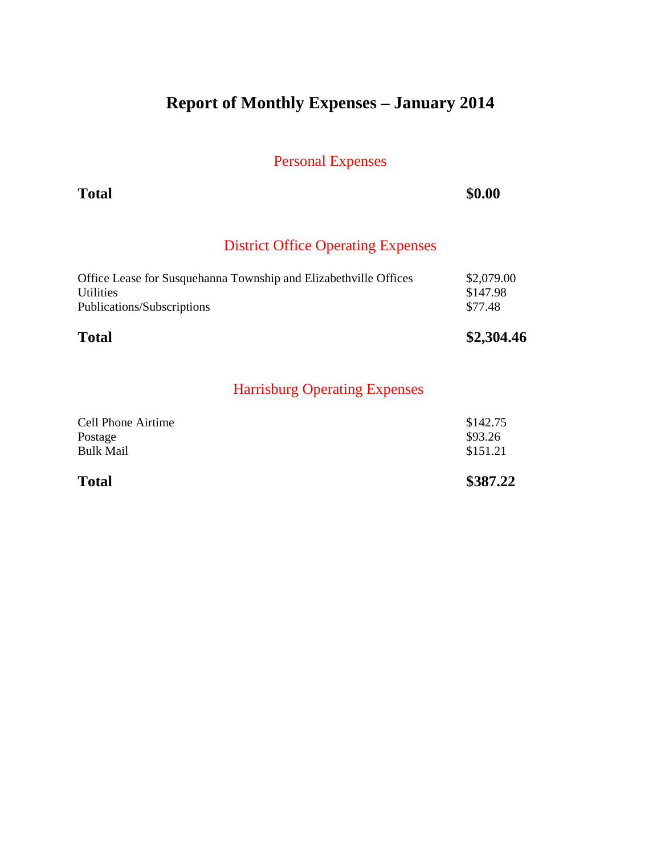# **Report of Monthly Expenses – January 2014**

Personal Expenses

**Total \$0.00** 

## District Office Operating Expenses

| <b>Total</b>                                                     | \$2,304.46 |
|------------------------------------------------------------------|------------|
| Publications/Subscriptions                                       | \$77.48    |
| <b>Utilities</b>                                                 | \$147.98   |
| Office Lease for Susquehanna Township and Elizabethville Offices | \$2,079.00 |

| \$151.21 |
|----------|
|          |
| \$93.26  |
| \$142.75 |
|          |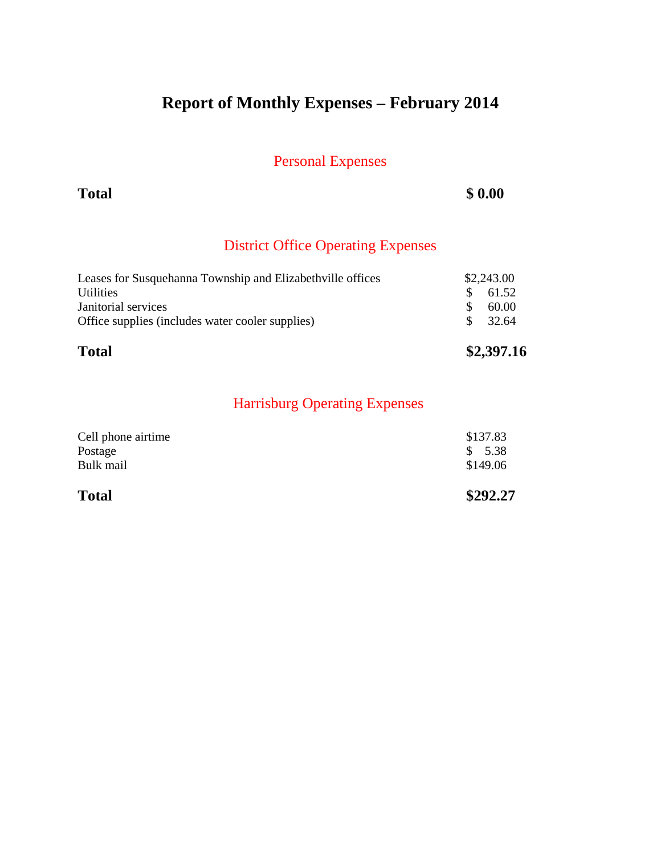# **Report of Monthly Expenses – February 2014**

Personal Expenses

**Total \$ 0.00**

## District Office Operating Expenses

| <b>Total</b>                                               | \$2,397.16        |  |
|------------------------------------------------------------|-------------------|--|
| Office supplies (includes water cooler supplies)           | 32.64<br>-S       |  |
| Janitorial services                                        | 60.00<br><b>S</b> |  |
| <b>Utilities</b>                                           | 61.52<br>-S       |  |
| Leases for Susquehanna Township and Elizabethville offices | \$2,243.00        |  |

| \$292.27 |
|----------|
| \$149.06 |
| \$5.38   |
| \$137.83 |
|          |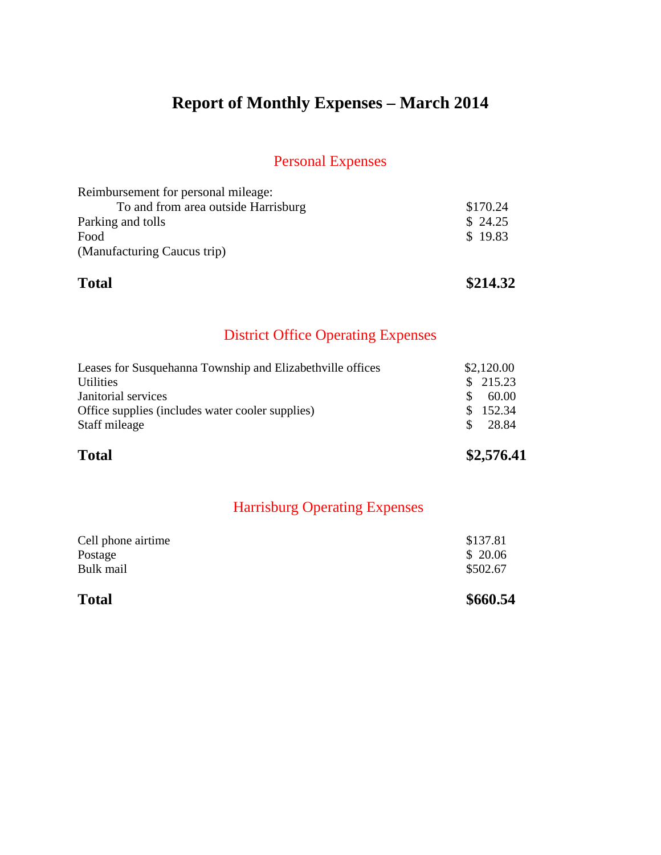# **Report of Monthly Expenses – March 2014**

### Personal Expenses

| <b>Total</b>                        | \$214.32 |
|-------------------------------------|----------|
| (Manufacturing Caucus trip)         |          |
| Food                                | \$19.83  |
| Parking and tolls                   | \$24.25  |
| To and from area outside Harrisburg | \$170.24 |
| Reimbursement for personal mileage: |          |

## District Office Operating Expenses

| <b>Total</b>                                               | \$2,576.41 |  |
|------------------------------------------------------------|------------|--|
| Staff mileage                                              | 28.84      |  |
| Office supplies (includes water cooler supplies)           | \$152.34   |  |
| Janitorial services                                        | 60.00      |  |
| <b>Utilities</b>                                           | \$215.23   |  |
| Leases for Susquehanna Township and Elizabethville offices | \$2,120.00 |  |

| <b>Total</b>       | \$660.54 |
|--------------------|----------|
| Bulk mail          | \$502.67 |
| Postage            | \$20.06  |
| Cell phone airtime | \$137.81 |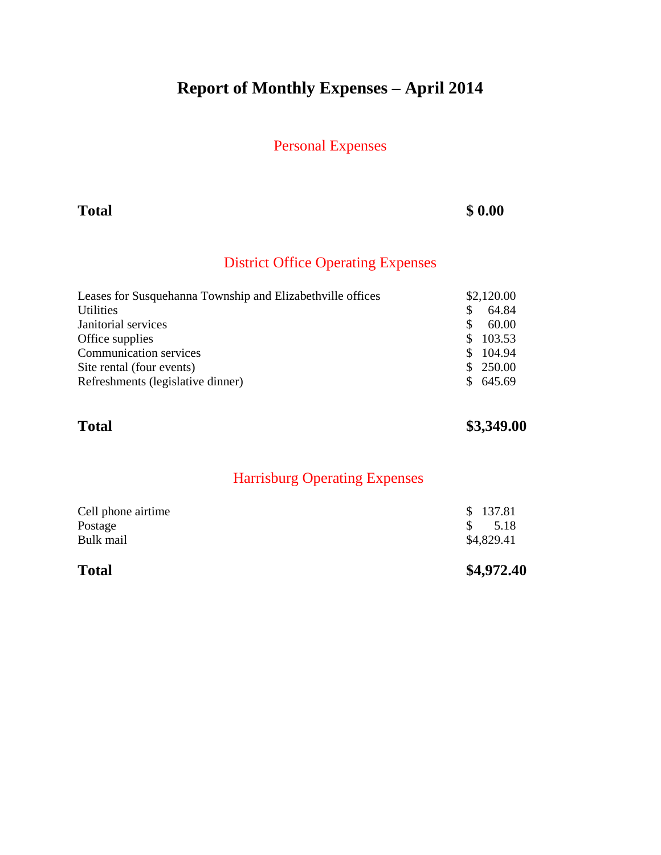# **Report of Monthly Expenses – April 2014**

### Personal Expenses

### **Total \$ 0.00**

## District Office Operating Expenses

|     | \$2,120.00 |
|-----|------------|
|     | 64.84      |
|     | 60.00      |
|     | 103.53     |
| SS. | 104.94     |
| S.  | 250.00     |
| SS. | 645.69     |
|     |            |

## **Total \$3,349.00**

| <b>Total</b>       | \$4,972.40  |
|--------------------|-------------|
| Bulk mail          | \$4,829.41  |
| Postage            | 5.18<br>SS. |
| Cell phone airtime | \$137.81    |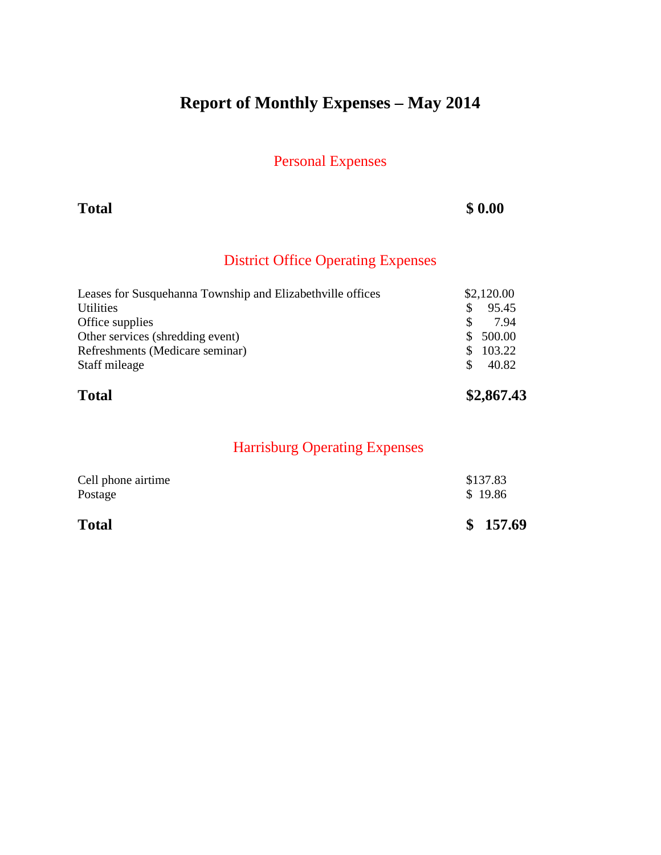# **Report of Monthly Expenses – May 2014**

Personal Expenses

**Total \$ 0.00**

## District Office Operating Expenses

| <b>Total</b>                                               | \$2,867.43    |  |
|------------------------------------------------------------|---------------|--|
| Staff mileage                                              | 40.82<br>\$.  |  |
| Refreshments (Medicare seminar)                            | 103.22<br>\$. |  |
| Other services (shredding event)                           | 500.00<br>\$. |  |
| Office supplies                                            | 7.94          |  |
| <b>Utilities</b>                                           | 95.45<br>S    |  |
| Leases for Susquehanna Township and Elizabethville offices | \$2,120.00    |  |

| Postage      | \$19.86  |
|--------------|----------|
| <b>Total</b> | \$157.69 |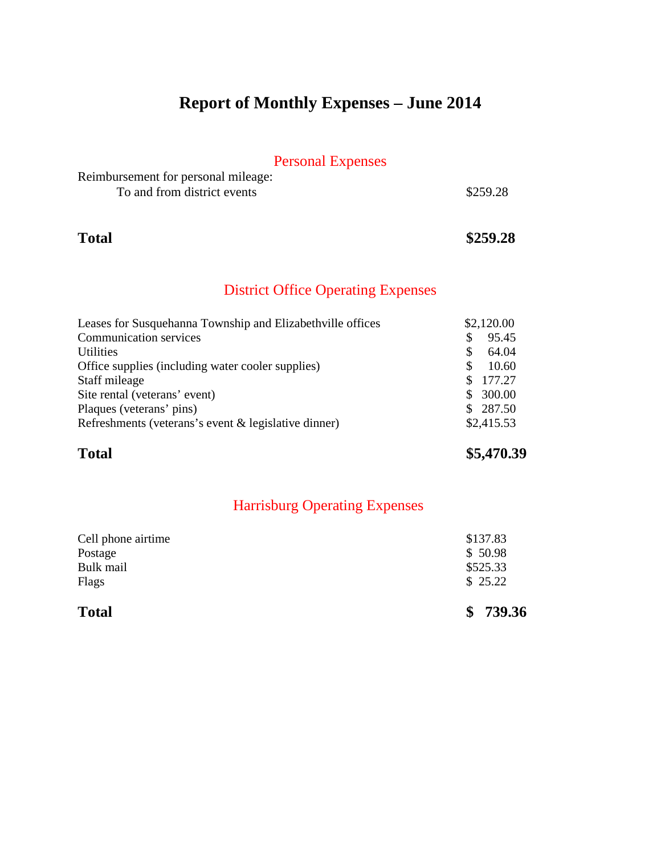# **Report of Monthly Expenses – June 2014**

## Personal Expenses

| Reimbursement for personal mileage: |          |
|-------------------------------------|----------|
| To and from district events         | \$259.28 |

### **Total \$259.28**

### District Office Operating Expenses

| Leases for Susquehanna Township and Elizabethville offices |          | \$2,120.00 |
|------------------------------------------------------------|----------|------------|
| <b>Communication services</b>                              | S        | 95.45      |
| Utilities                                                  | <b>S</b> | 64.04      |
| Office supplies (including water cooler supplies)          | <b>S</b> | 10.60      |
| Staff mileage                                              | S.       | 177.27     |
| Site rental (veterans' event)                              | S.       | 300.00     |
| Plaques (veterans' pins)                                   |          | \$287.50   |
| Refreshments (veterans's event & legislative dinner)       |          | \$2,415.53 |

**Total \$5,470.39**

| <b>Total</b>       | \$739.36 |
|--------------------|----------|
| Flags              | \$25.22  |
| Bulk mail          | \$525.33 |
| Postage            | \$50.98  |
| Cell phone airtime | \$137.83 |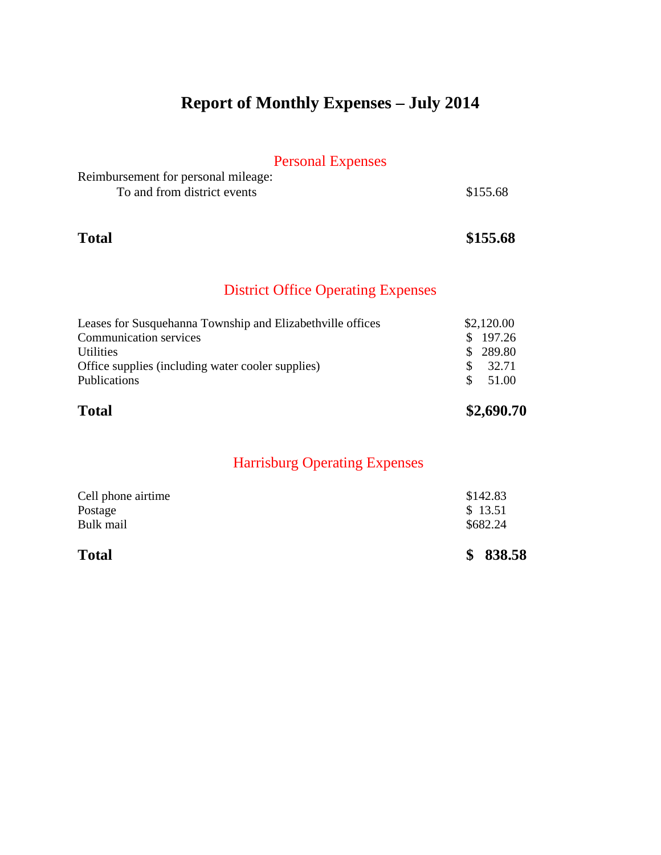# **Report of Monthly Expenses – July 2014**

## Personal Expenses

| Reimbursement for personal mileage: |          |
|-------------------------------------|----------|
| To and from district events         | \$155.68 |

### **Total \$155.68**

## District Office Operating Expenses

| <b>Total</b>                                               | \$2,690.70   |
|------------------------------------------------------------|--------------|
| Publications                                               | 51.00<br>SS. |
| Office supplies (including water cooler supplies)          | 32.71        |
| <b>Utilities</b>                                           | \$289.80     |
| <b>Communication services</b>                              | \$197.26     |
| Leases for Susquehanna Township and Elizabethville offices | \$2,120.00   |

| \$838.58 |
|----------|
| \$682.24 |
| \$13.51  |
| \$142.83 |
|          |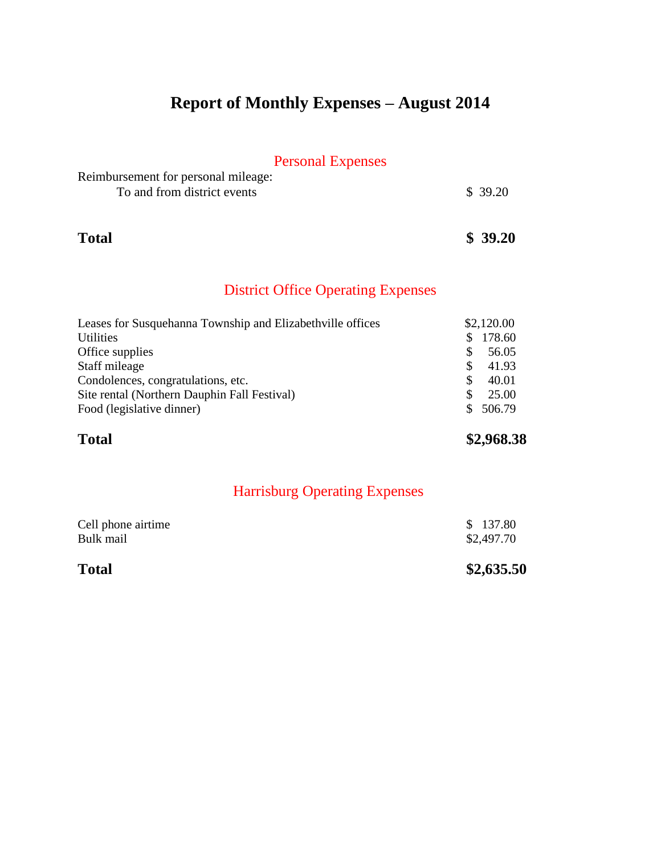# **Report of Monthly Expenses – August 2014**

## Personal Expenses

| Reimbursement for personal mileage: |         |
|-------------------------------------|---------|
| To and from district events         | \$39.20 |

# **Total \$ 39.20**

## District Office Operating Expenses

| Leases for Susquehanna Township and Elizabethville offices |          | \$2,120.00 |
|------------------------------------------------------------|----------|------------|
| <b>Utilities</b>                                           | \$.      | 178.60     |
| Office supplies                                            | <b>S</b> | 56.05      |
| Staff mileage                                              | -S       | 41.93      |
| Condolences, congratulations, etc.                         | <b>S</b> | 40.01      |
| Site rental (Northern Dauphin Fall Festival)               | <b>S</b> | 25.00      |
| Food (legislative dinner)                                  | SS.      | 506.79     |
|                                                            |          |            |

**Total \$2,968.38** 

| <b>Total</b>       | \$2,635.50 |
|--------------------|------------|
| Bulk mail          | \$2,497.70 |
| Cell phone airtime | \$137.80   |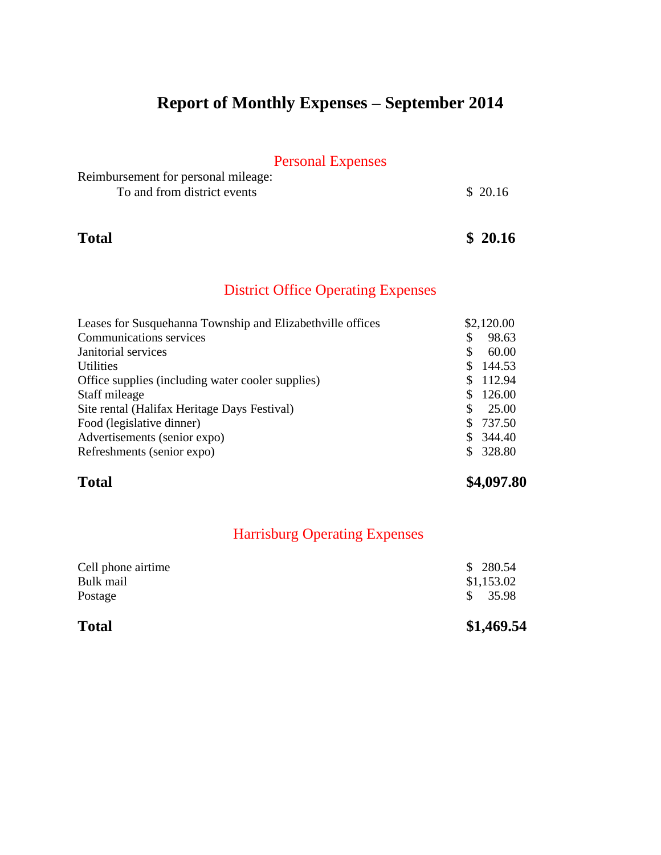# **Report of Monthly Expenses – September 2014**

## Personal Expenses

| Reimbursement for personal mileage: |         |
|-------------------------------------|---------|
| To and from district events         | \$20.16 |

### **Total \$ 20.16**

## District Office Operating Expenses

| Leases for Susquehanna Township and Elizabethville offices |    | \$2,120.00 |
|------------------------------------------------------------|----|------------|
| <b>Communications services</b>                             | \$ | 98.63      |
| Janitorial services                                        | S  | 60.00      |
| <b>Utilities</b>                                           | \$ | 144.53     |
| Office supplies (including water cooler supplies)          |    | 112.94     |
| Staff mileage                                              | S  | 126.00     |
| Site rental (Halifax Heritage Days Festival)               | S. | 25.00      |
| Food (legislative dinner)                                  | S. | 737.50     |
| Advertisements (senior expo)                               | S. | 344.40     |
| Refreshments (senior expo)                                 | S. | 328.80     |

## **Total \$4,097.80**

| \$1,469.54 |
|------------|
| \$35.98    |
| \$1,153.02 |
| \$280.54   |
|            |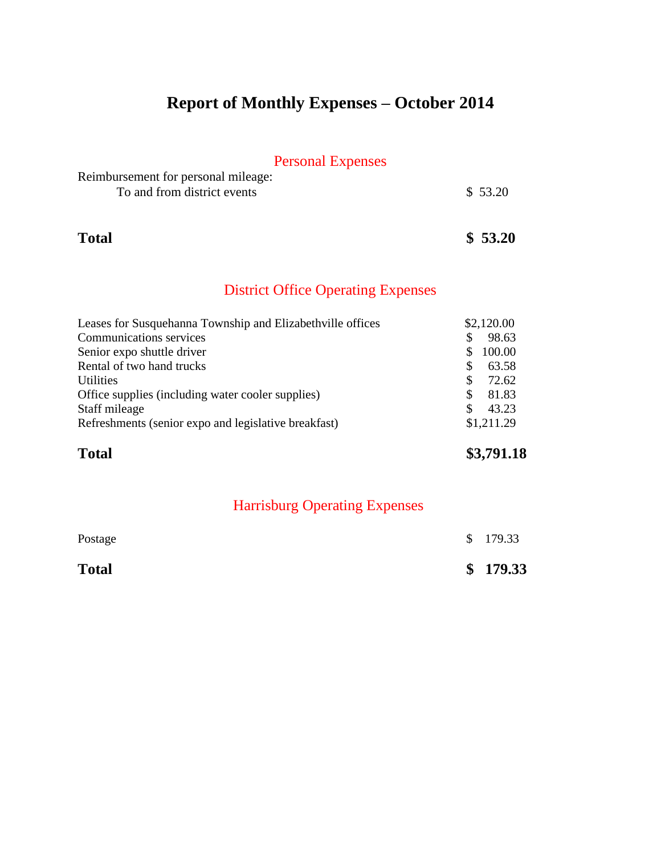# **Report of Monthly Expenses – October 2014**

## Personal Expenses

| Reimbursement for personal mileage: |         |
|-------------------------------------|---------|
| To and from district events         | \$53.20 |

## **Total \$ 53.20**

## District Office Operating Expenses

| \$2,120.00<br>Leases for Susquehanna Township and Elizabethville offices |            |
|--------------------------------------------------------------------------|------------|
| <b>Communications services</b><br>S                                      | 98.63      |
| Senior expo shuttle driver<br>S                                          | 100.00     |
| Rental of two hand trucks<br>S                                           | 63.58      |
| <b>Utilities</b><br>S                                                    | 72.62      |
| Office supplies (including water cooler supplies)<br>\$.                 | 81.83      |
| Staff mileage<br>£.                                                      | 43.23      |
| Refreshments (senior expo and legislative breakfast)                     | \$1,211.29 |

**Total \$3,791.18**

| Postage      | \$179.33 |
|--------------|----------|
| <b>Total</b> | \$179.33 |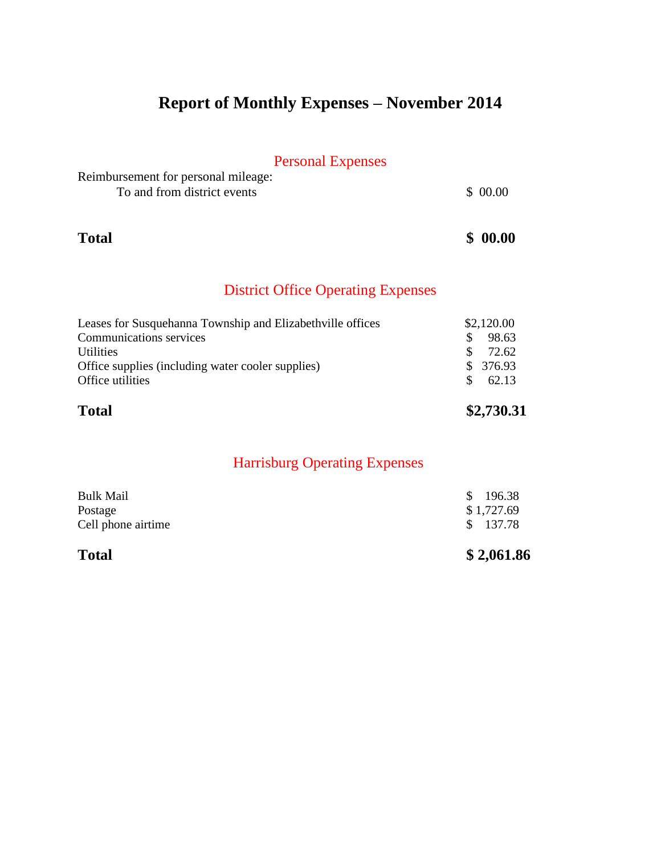# **Report of Monthly Expenses – November 2014**

## Personal Expenses

| Reimbursement for personal mileage: |         |
|-------------------------------------|---------|
| To and from district events         | \$00.00 |

### **Total \$ 00.00**

## District Office Operating Expenses

| <b>Total</b>                                               | \$2,730.31             |
|------------------------------------------------------------|------------------------|
| Office utilities                                           | 62.13<br>$\mathcal{S}$ |
| Office supplies (including water cooler supplies)          | \$376.93               |
| <b>Utilities</b>                                           | 72.62                  |
| <b>Communications services</b>                             | 98.63                  |
| Leases for Susquehanna Township and Elizabethville offices | \$2,120.00             |

| <b>Total</b>       | \$2,061.86 |
|--------------------|------------|
| Cell phone airtime | \$ 137.78  |
| Postage            | \$1,727.69 |
| <b>Bulk Mail</b>   | \$196.38   |